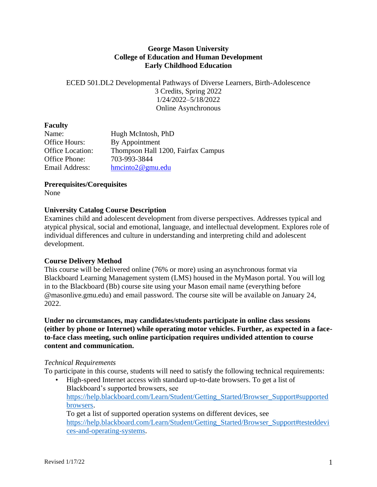### **George Mason University College of Education and Human Development Early Childhood Education**

ECED 501.DL2 Developmental Pathways of Diverse Learners, Birth-Adolescence 3 Credits, Spring 2022 1/24/2022–5/18/2022 Online Asynchronous

### **Faculty**

| Name:                   | Hugh McIntosh, PhD                 |
|-------------------------|------------------------------------|
| Office Hours:           | By Appointment                     |
| <b>Office Location:</b> | Thompson Hall 1200, Fairfax Campus |
| Office Phone:           | 703-993-3844                       |
| Email Address:          | $h$ mcinto $2@$ gmu.edu            |

### **Prerequisites/Corequisites**

None

# **University Catalog Course Description**

Examines child and adolescent development from diverse perspectives. Addresses typical and atypical physical, social and emotional, language, and intellectual development. Explores role of individual differences and culture in understanding and interpreting child and adolescent development.

# **Course Delivery Method**

This course will be delivered online (76% or more) using an asynchronous format via Blackboard Learning Management system (LMS) housed in the MyMason portal. You will log in to the Blackboard (Bb) course site using your Mason email name (everything before @masonlive.gmu.edu) and email password. The course site will be available on January 24, 2022.

**Under no circumstances, may candidates/students participate in online class sessions (either by phone or Internet) while operating motor vehicles. Further, as expected in a faceto-face class meeting, such online participation requires undivided attention to course content and communication.**

#### *Technical Requirements*

To participate in this course, students will need to satisfy the following technical requirements:

• High-speed Internet access with standard up-to-date browsers. To get a list of Blackboard's supported browsers, see [https://help.blackboard.com/Learn/Student/Getting\\_Started/Browser\\_Support#supported](https://help.blackboard.com/Learn/Student/Getting_Started/Browser_Support#supported) [browsers.](https://help.blackboard.com/Learn/Student/Getting_Started/Browser_Support#supported) To get a list of supported operation systems on different devices, see [https://help.blackboard.com/Learn/Student/Getting\\_Started/Browser\\_Support#testeddevi](https://help.blackboard.com/Learn/Student/Getting_Started/Browser_Support#testeddevi)

[ces-and-operating-systems.](https://help.blackboard.com/Learn/Student/Getting_Started/Browser_Support#testeddevi)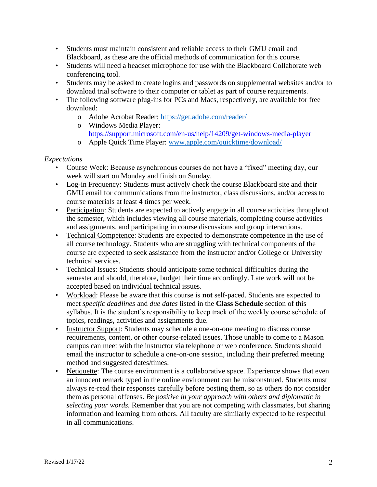- Students must maintain consistent and reliable access to their GMU email and Blackboard, as these are the official methods of communication for this course.
- Students will need a headset microphone for use with the Blackboard Collaborate web conferencing tool.
- Students may be asked to create logins and passwords on supplemental websites and/or to download trial software to their computer or tablet as part of course requirements.
- The following software plug-ins for PCs and Macs, respectively, are available for free download:
	- o Adobe Acrobat Reader:<https://get.adobe.com/reader/>
	- o Windows Media Player: <https://support.microsoft.com/en-us/help/14209/get-windows-media-player>
	- o Apple Quick Time Player:<www.apple.com/quicktime/download/>

# *Expectations*

- Course Week: Because asynchronous courses do not have a "fixed" meeting day, our week will start on Monday and finish on Sunday.
- Log-in Frequency: Students must actively check the course Blackboard site and their GMU email for communications from the instructor, class discussions, and/or access to course materials at least 4 times per week.
- Participation: Students are expected to actively engage in all course activities throughout the semester, which includes viewing all course materials, completing course activities and assignments, and participating in course discussions and group interactions.
- Technical Competence: Students are expected to demonstrate competence in the use of all course technology. Students who are struggling with technical components of the course are expected to seek assistance from the instructor and/or College or University technical services.
- Technical Issues: Students should anticipate some technical difficulties during the semester and should, therefore, budget their time accordingly. Late work will not be accepted based on individual technical issues.
- Workload: Please be aware that this course is **not** self-paced. Students are expected to meet *specific deadlines* and *due dates* listed in the **Class Schedule** section of this syllabus. It is the student's responsibility to keep track of the weekly course schedule of topics, readings, activities and assignments due.
- Instructor Support: Students may schedule a one-on-one meeting to discuss course requirements, content, or other course-related issues. Those unable to come to a Mason campus can meet with the instructor via telephone or web conference. Students should email the instructor to schedule a one-on-one session, including their preferred meeting method and suggested dates/times.
- Netiquette: The course environment is a collaborative space. Experience shows that even an innocent remark typed in the online environment can be misconstrued. Students must always re-read their responses carefully before posting them, so as others do not consider them as personal offenses. *Be positive in your approach with others and diplomatic in selecting your words.* Remember that you are not competing with classmates, but sharing information and learning from others. All faculty are similarly expected to be respectful in all communications.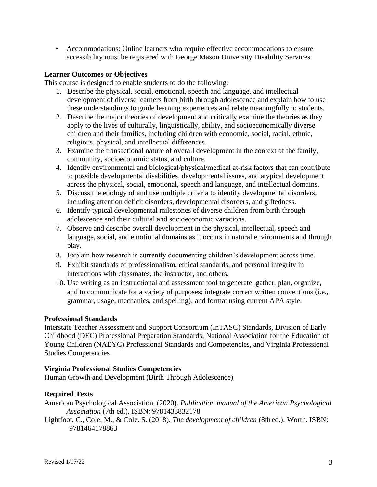• Accommodations: Online learners who require effective accommodations to ensure accessibility must be registered with George Mason University Disability Services

### **Learner Outcomes or Objectives**

This course is designed to enable students to do the following:

- 1. Describe the physical, social, emotional, speech and language, and intellectual development of diverse learners from birth through adolescence and explain how to use these understandings to guide learning experiences and relate meaningfully to students.
- 2. Describe the major theories of development and critically examine the theories as they apply to the lives of culturally, linguistically, ability, and socioeconomically diverse children and their families, including children with economic, social, racial, ethnic, religious, physical, and intellectual differences.
- 3. Examine the transactional nature of overall development in the context of the family, community, socioeconomic status, and culture.
- 4. Identify environmental and biological/physical/medical at-risk factors that can contribute to possible developmental disabilities, developmental issues, and atypical development across the physical, social, emotional, speech and language, and intellectual domains.
- 5. Discuss the etiology of and use multiple criteria to identify developmental disorders, including attention deficit disorders, developmental disorders, and giftedness.
- 6. Identify typical developmental milestones of diverse children from birth through adolescence and their cultural and socioeconomic variations.
- 7. Observe and describe overall development in the physical, intellectual, speech and language, social, and emotional domains as it occurs in natural environments and through play.
- 8. Explain how research is currently documenting children's development across time.
- 9. Exhibit standards of professionalism, ethical standards, and personal integrity in interactions with classmates, the instructor, and others.
- 10. Use writing as an instructional and assessment tool to generate, gather, plan, organize, and to communicate for a variety of purposes; integrate correct written conventions (i.e., grammar, usage, mechanics, and spelling); and format using current APA style.

#### **Professional Standards**

Interstate Teacher Assessment and Support Consortium (InTASC) Standards, Division of Early Childhood (DEC) Professional Preparation Standards, National Association for the Education of Young Children (NAEYC) Professional Standards and Competencies, and Virginia Professional Studies Competencies

#### **Virginia Professional Studies Competencies**

Human Growth and Development (Birth Through Adolescence)

# **Required Texts**

American Psychological Association. (2020). *Publication manual of the American Psychological Association* (7th ed.). ISBN: 9781433832178

Lightfoot, C., Cole, M., & Cole. S. (2018). *The development of children* (8th ed.). Worth. ISBN: 9781464178863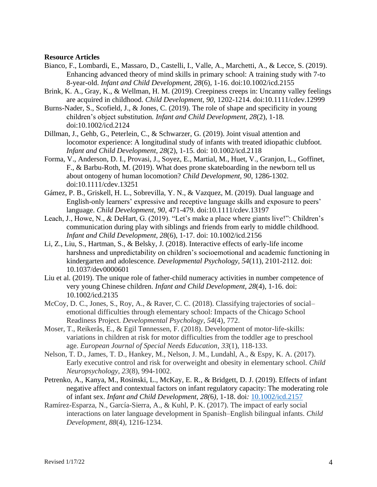#### **Resource Articles**

- Bianco, F., Lombardi, E., Massaro, D., Castelli, I., Valle, A., Marchetti, A., & Lecce, S. (2019). Enhancing advanced theory of mind skills in primary school: A training study with 7-to 8-year-old. *Infant and Child Development, 28*(6), 1-16. doi:10.1002/icd.2155
- Brink, K. A., Gray, K., & Wellman, H. M. (2019). Creepiness creeps in: Uncanny valley feelings are acquired in childhood. *Child Development, 90,* 1202-1214. doi:10.1111/cdev.12999
- Burns-Nader, S., Scofield, J., & Jones, C. (2019). The role of shape and specificity in young children's object substitution*. Infant and Child Development, 28*(2)*,* 1-18*.*  doi:10.1002/icd.2124
- Dillman, J., Gehb, G., Peterlein, C., & Schwarzer, G. (2019). Joint visual attention and locomotor experience: A longitudinal study of infants with treated idiopathic clubfoot*. Infant and Child Development, 28*(2), 1-15. doi: 10.1002/icd.2118
- Forma, V., Anderson, D. I., Provasi, J., Soyez, E., Martial, M., Huet, V., Granjon, L., Goffinet, F., & Barbu-Roth, M. (2019). What does prone skateboarding in the newborn tell us about ontogeny of human locomotion? *Child Development, 90*, 1286-1302. doi:10.1111/cdev.13251
- Gámez, P. B., Griskell, H. L., Sobrevilla, Y. N., & Vazquez, M. (2019). Dual language and English-only learners' expressive and receptive language skills and exposure to peers' language. *Child Development, 90*, 471-479. doi:10.1111/cdev.13197
- Leach, J., Howe, N., & DeHart, G. (2019). "Let's make a place where giants live!": Children's communication during play with siblings and friends from early to middle childhood. *Infant and Child Development, 28*(6), 1-17. doi: 10.1002/icd.2156
- Li, Z., Liu, S., Hartman, S., & Belsky, J. (2018). Interactive effects of early-life income harshness and unpredictability on children's socioemotional and academic functioning in kindergarten and adolescence. *Developmental Psychology, 54*(11), 2101-2112. doi: 10.1037/dev0000601
- Liu et al. (2019). The unique role of father-child numeracy activities in number competence of very young Chinese children. *Infant and Child Development, 28*(4), 1-16. doi: 10.1002/icd.2135
- McCoy, D. C., Jones, S., Roy, A., & Raver, C. C. (2018). Classifying trajectories of social– emotional difficulties through elementary school: Impacts of the Chicago School Readiness Project. *Developmental Psychology*, *54*(4), 772.
- Moser, T., Reikerås, E., & Egil Tønnessen, F. (2018). Development of motor-life-skills: variations in children at risk for motor difficulties from the toddler age to preschool age. *European Journal of Special Needs Education*, *33*(1), 118-133.
- Nelson, T. D., James, T. D., Hankey, M., Nelson, J. M., Lundahl, A., & Espy, K. A. (2017). Early executive control and risk for overweight and obesity in elementary school. *Child Neuropsychology*, *23*(8), 994-1002.
- Petrenko, A., Kanya, M., Rosinski, L., McKay, E. R., & Bridgett, D. J. (2019). Effects of infant negative affect and contextual factors on infant regulatory capacity: The moderating role of infant sex. *Infant and Child Development, 28(*6*),* 1-18. doi*:* [10.1002/icd.2157](https://doi.org/10.1002/icd.2157)
- Ramírez‐Esparza, N., García‐Sierra, A., & Kuhl, P. K. (2017). The impact of early social interactions on later language development in Spanish–English bilingual infants. *Child Development*, *88*(4), 1216-1234.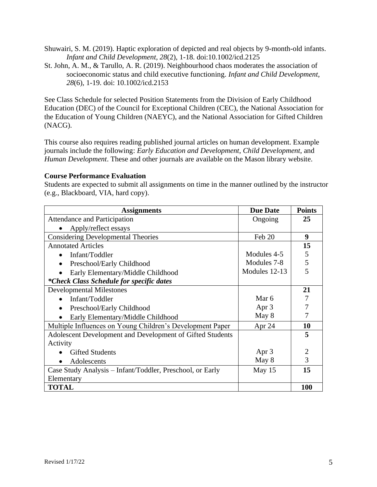Shuwairi, S. M. (2019). Haptic exploration of depicted and real objects by 9-month-old infants. *Infant and Child Development, 28*(2), 1-18. doi:10.1002/icd.2125

St. John, A. M., & Tarullo, A. R. (2019). Neighbourhood chaos moderates the association of socioeconomic status and child executive functioning. *Infant and Child Development, 28*(6), 1-19. doi: 10.1002/icd.2153

See Class Schedule for selected Position Statements from the Division of Early Childhood Education (DEC) of the Council for Exceptional Children (CEC), the National Association for the Education of Young Children (NAEYC), and the National Association for Gifted Children (NACG).

This course also requires reading published journal articles on human development. Example journals include the following: *Early Education and Development*, *Child Development*, and *Human Development*. These and other journals are available on the Mason library website.

#### **Course Performance Evaluation**

Students are expected to submit all assignments on time in the manner outlined by the instructor (e.g., Blackboard, VIA, hard copy).

| <b>Assignments</b>                                        | <b>Due Date</b> | <b>Points</b> |
|-----------------------------------------------------------|-----------------|---------------|
| Attendance and Participation                              | Ongoing         | 25            |
| Apply/reflect essays                                      |                 |               |
| <b>Considering Developmental Theories</b>                 | Feb 20          | 9             |
| <b>Annotated Articles</b>                                 |                 | 15            |
| Infant/Toddler<br>$\bullet$                               | Modules 4-5     | 5             |
| Preschool/Early Childhood<br>$\bullet$                    | Modules 7-8     | 5             |
| Early Elementary/Middle Childhood                         | Modules 12-13   | 5             |
| *Check Class Schedule for specific dates                  |                 |               |
| <b>Developmental Milestones</b>                           |                 | 21            |
| Infant/Toddler                                            | Mar 6           | 7             |
| Preschool/Early Childhood<br>$\bullet$                    | Apr 3           | 7             |
| Early Elementary/Middle Childhood                         | May 8           | 7             |
| Multiple Influences on Young Children's Development Paper | Apr 24          | 10            |
| Adolescent Development and Development of Gifted Students |                 | 5             |
| Activity                                                  |                 |               |
| <b>Gifted Students</b>                                    | Apr 3           | 2             |
| Adolescents                                               | May 8           | 3             |
| Case Study Analysis – Infant/Toddler, Preschool, or Early | May 15          | 15            |
| Elementary                                                |                 |               |
| <b>TOTAL</b>                                              |                 | 100           |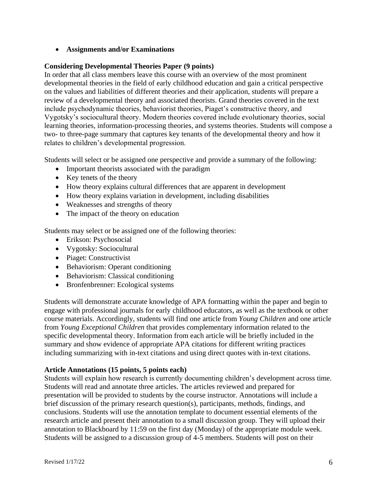• **Assignments and/or Examinations**

# **Considering Developmental Theories Paper (9 points)**

In order that all class members leave this course with an overview of the most prominent developmental theories in the field of early childhood education and gain a critical perspective on the values and liabilities of different theories and their application, students will prepare a review of a developmental theory and associated theorists. Grand theories covered in the text include psychodynamic theories, behaviorist theories, Piaget's constructive theory, and Vygotsky's sociocultural theory. Modern theories covered include evolutionary theories, social learning theories, information-processing theories, and systems theories. Students will compose a two- to three-page summary that captures key tenants of the developmental theory and how it relates to children's developmental progression.

Students will select or be assigned one perspective and provide a summary of the following:

- Important theorists associated with the paradigm
- Key tenets of the theory
- How theory explains cultural differences that are apparent in development
- How theory explains variation in development, including disabilities
- Weaknesses and strengths of theory
- The impact of the theory on education

Students may select or be assigned one of the following theories:

- Erikson: Psychosocial
- Vygotsky: Sociocultural
- Piaget: Constructivist
- Behaviorism: Operant conditioning
- Behaviorism: Classical conditioning
- Bronfenbrenner: Ecological systems

Students will demonstrate accurate knowledge of APA formatting within the paper and begin to engage with professional journals for early childhood educators, as well as the textbook or other course materials. Accordingly, students will find one article from *Young Children* and one article from *Young Exceptional Children* that provides complementary information related to the specific developmental theory. Information from each article will be briefly included in the summary and show evidence of appropriate APA citations for different writing practices including summarizing with in-text citations and using direct quotes with in-text citations.

#### **Article Annotations (15 points, 5 points each)**

Students will explain how research is currently documenting children's development across time. Students will read and annotate three articles. The articles reviewed and prepared for presentation will be provided to students by the course instructor. Annotations will include a brief discussion of the primary research question(s), participants, methods, findings, and conclusions. Students will use the annotation template to document essential elements of the research article and present their annotation to a small discussion group. They will upload their annotation to Blackboard by 11:59 on the first day (Monday) of the appropriate module week. Students will be assigned to a discussion group of 4-5 members. Students will post on their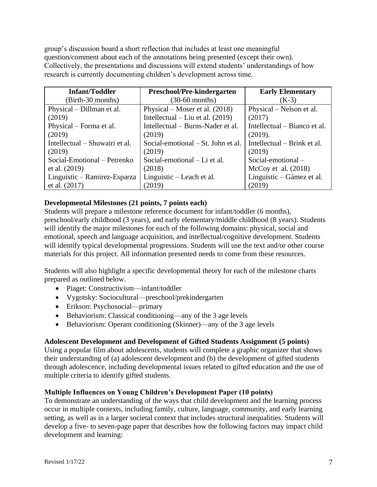group's discussion board a short reflection that includes at least one meaningful question/comment about each of the annotations being presented (except their own). Collectively, the presentations and discussions will extend students' understandings of how research is currently documenting children's development across time.

| <b>Infant/Toddler</b>          | Preschool/Pre-kindergarten         | <b>Early Elementary</b>      |
|--------------------------------|------------------------------------|------------------------------|
| (Birth-30 months)              | $(30-60$ months)                   | $(K-3)$                      |
| Physical – Dillman et al.      | Physical – Moser et al. $(2018)$   | Physical – Nelson et al.     |
| (2019)                         | Intellectual – Liu et al. $(2019)$ | (2017)                       |
| Physical – Forma et al.        | Intellectual – Burns-Nader et al.  | Intellectual – Bianco et al. |
| (2019)                         | (2019)                             | (2019).                      |
| Intellectual – Shuwairi et al. | Social-emotional – St. John et al. | Intellectual – Brink et al.  |
| (2019)                         | (2019)                             | (2019)                       |
| Social-Emotional – Petrenko    | Social-emotional – Li et al.       | Social-emotional-            |
| et al. (2019)                  | (2018)                             | McCoy et al. $(2018)$        |
| Linguistic – Ramirez-Esparza   | Linguistic – Leach et al.          | Linguistic – Gámez et al.    |
| et al. (2017)                  | 2019)                              | (2019)                       |

# **Developmental Milestones (21 points, 7 points each)**

Students will prepare a milestone reference document for infant/toddler (6 months), preschool/early childhood (3 years), and early elementary/middle childhood (8 years). Students will identify the major milestones for each of the following domains: physical, social and emotional, speech and language acquisition, and intellectual/cognitive development. Students will identify typical developmental progressions. Students will use the text and/or other course materials for this project. All information presented needs to come from these resources.

Students will also highlight a specific developmental theory for each of the milestone charts prepared as outlined below.

- Piaget: Constructivism—infant/toddler
- Vygotsky: Sociocultural—preschool/prekindergarten
- Erikson: Psychosocial—primary
- Behaviorism: Classical conditioning—any of the 3 age levels
- Behaviorism: Operant conditioning (Skinner)—any of the 3 age levels

### **Adolescent Development and Development of Gifted Students Assignment (5 points)**

Using a popular film about adolescents, students will complete a graphic organizer that shows their understanding of (a) adolescent development and (b) the development of gifted students through adolescence, including developmental issues related to gifted education and the use of multiple criteria to identify gifted students.

#### **Multiple Influences on Young Children's Development Paper (10 points)**

To demonstrate an understanding of the ways that child development and the learning process occur in multiple contexts, including family, culture, language, community, and early learning setting, as well as in a larger societal context that includes structural inequalities. Students will develop a five- to seven-page paper that describes how the following factors may impact child development and learning: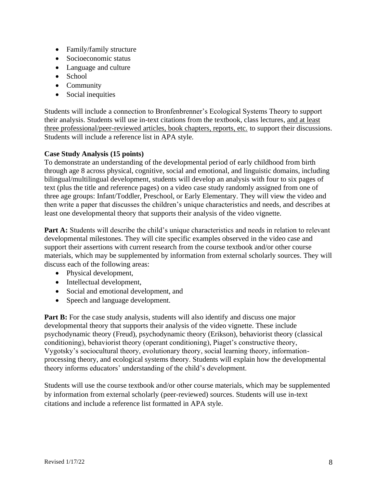- Family/family structure
- Socioeconomic status
- Language and culture
- School
- Community
- Social inequities

Students will include a connection to Bronfenbrenner's Ecological Systems Theory to support their analysis. Students will use in-text citations from the textbook, class lectures, and at least three professional/peer-reviewed articles, book chapters, reports, etc. to support their discussions. Students will include a reference list in APA style.

# **Case Study Analysis (15 points)**

To demonstrate an understanding of the developmental period of early childhood from birth through age 8 across physical, cognitive, social and emotional, and linguistic domains, including bilingual/multilingual development, students will develop an analysis with four to six pages of text (plus the title and reference pages) on a video case study randomly assigned from one of three age groups: Infant/Toddler, Preschool, or Early Elementary. They will view the video and then write a paper that discusses the children's unique characteristics and needs, and describes at least one developmental theory that supports their analysis of the video vignette.

Part A: Students will describe the child's unique characteristics and needs in relation to relevant developmental milestones. They will cite specific examples observed in the video case and support their assertions with current research from the course textbook and/or other course materials, which may be supplemented by information from external scholarly sources. They will discuss each of the following areas:

- Physical development,
- Intellectual development,
- Social and emotional development, and
- Speech and language development.

**Part B:** For the case study analysis, students will also identify and discuss one major developmental theory that supports their analysis of the video vignette. These include psychodynamic theory (Freud), psychodynamic theory (Erikson), behaviorist theory (classical conditioning), behaviorist theory (operant conditioning), Piaget's constructive theory, Vygotsky's sociocultural theory, evolutionary theory, social learning theory, informationprocessing theory, and ecological systems theory. Students will explain how the developmental theory informs educators' understanding of the child's development.

Students will use the course textbook and/or other course materials, which may be supplemented by information from external scholarly (peer-reviewed) sources. Students will use in-text citations and include a reference list formatted in APA style.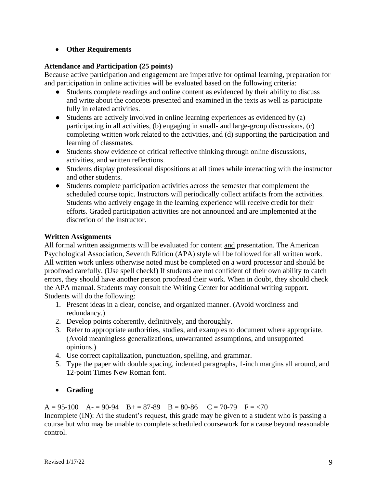# • **Other Requirements**

# **Attendance and Participation (25 points)**

Because active participation and engagement are imperative for optimal learning, preparation for and participation in online activities will be evaluated based on the following criteria:

- Students complete readings and online content as evidenced by their ability to discuss and write about the concepts presented and examined in the texts as well as participate fully in related activities.
- Students are actively involved in online learning experiences as evidenced by (a) participating in all activities, (b) engaging in small- and large-group discussions, (c) completing written work related to the activities, and (d) supporting the participation and learning of classmates.
- Students show evidence of critical reflective thinking through online discussions, activities, and written reflections.
- Students display professional dispositions at all times while interacting with the instructor and other students.
- Students complete participation activities across the semester that complement the scheduled course topic. Instructors will periodically collect artifacts from the activities. Students who actively engage in the learning experience will receive credit for their efforts. Graded participation activities are not announced and are implemented at the discretion of the instructor.

# **Written Assignments**

All formal written assignments will be evaluated for content and presentation. The American Psychological Association, Seventh Edition (APA) style will be followed for all written work. All written work unless otherwise noted must be completed on a word processor and should be proofread carefully. (Use spell check!) If students are not confident of their own ability to catch errors, they should have another person proofread their work. When in doubt, they should check the APA manual. Students may consult the Writing Center for additional writing support. Students will do the following:

- 1. Present ideas in a clear, concise, and organized manner. (Avoid wordiness and redundancy.)
- 2. Develop points coherently, definitively, and thoroughly.
- 3. Refer to appropriate authorities, studies, and examples to document where appropriate. (Avoid meaningless generalizations, unwarranted assumptions, and unsupported opinions.)
- 4. Use correct capitalization, punctuation, spelling, and grammar.
- 5. Type the paper with double spacing, indented paragraphs, 1-inch margins all around, and 12-point Times New Roman font.

# • **Grading**

 $A = 95-100$   $A = 90-94$   $B = 87-89$   $B = 80-86$   $C = 70-79$   $F = 70$ Incomplete (IN): At the student's request, this grade may be given to a student who is passing a course but who may be unable to complete scheduled coursework for a cause beyond reasonable control.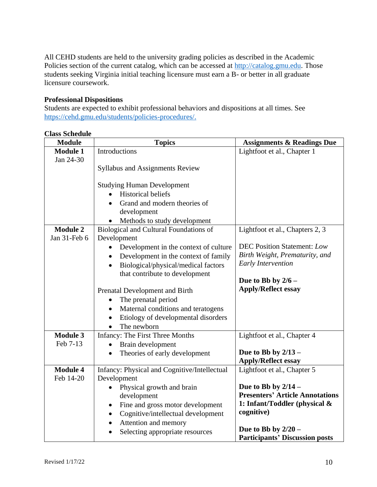All CEHD students are held to the university grading policies as described in the Academic Policies section of the current catalog, which can be accessed at [http://catalog.gmu.edu.](http://catalog.gmu.edu/) Those students seeking Virginia initial teaching licensure must earn a B- or better in all graduate licensure coursework.

# **Professional Dispositions**

Students are expected to exhibit professional behaviors and dispositions at all times. See [https://cehd.gmu.edu/students/policies-procedures/.](https://cehd.gmu.edu/students/policies-procedures/)

| <b>Module</b>   | <b>Topics</b>                                                           | <b>Assignments &amp; Readings Due</b>                           |
|-----------------|-------------------------------------------------------------------------|-----------------------------------------------------------------|
| <b>Module 1</b> | Introductions                                                           | Lightfoot et al., Chapter 1                                     |
| Jan 24-30       |                                                                         |                                                                 |
|                 | <b>Syllabus and Assignments Review</b>                                  |                                                                 |
|                 | <b>Studying Human Development</b>                                       |                                                                 |
|                 | <b>Historical beliefs</b>                                               |                                                                 |
|                 | Grand and modern theories of<br>$\bullet$                               |                                                                 |
|                 | development                                                             |                                                                 |
|                 | Methods to study development<br>$\bullet$                               |                                                                 |
| <b>Module 2</b> | Biological and Cultural Foundations of                                  | Lightfoot et al., Chapters 2, 3                                 |
| Jan 31-Feb 6    | Development                                                             |                                                                 |
|                 | Development in the context of culture                                   | <b>DEC Position Statement: Low</b>                              |
|                 | Development in the context of family<br>$\bullet$                       | Birth Weight, Prematurity, and                                  |
|                 | Biological/physical/medical factors<br>$\bullet$                        | Early Intervention                                              |
|                 | that contribute to development                                          | Due to Bb by $2/6$ –                                            |
|                 |                                                                         | <b>Apply/Reflect essay</b>                                      |
|                 | Prenatal Development and Birth<br>The prenatal period<br>$\bullet$      |                                                                 |
|                 | Maternal conditions and teratogens<br>$\bullet$                         |                                                                 |
|                 | Etiology of developmental disorders<br>$\bullet$                        |                                                                 |
|                 | The newborn<br>$\bullet$                                                |                                                                 |
| <b>Module 3</b> | <b>Infancy: The First Three Months</b>                                  | Lightfoot et al., Chapter 4                                     |
| Feb 7-13        | Brain development                                                       |                                                                 |
|                 | Theories of early development<br>$\bullet$                              | Due to Bb by $2/13$ –                                           |
|                 |                                                                         | <b>Apply/Reflect essay</b>                                      |
| <b>Module 4</b> | Infancy: Physical and Cognitive/Intellectual                            | Lightfoot et al., Chapter 5                                     |
| Feb 14-20       | Development                                                             |                                                                 |
|                 | Physical growth and brain<br>$\bullet$                                  | Due to Bb by $2/14$ –<br><b>Presenters' Article Annotations</b> |
|                 | development                                                             | 1: Infant/Toddler (physical &                                   |
|                 | Fine and gross motor development<br>$\bullet$                           | cognitive)                                                      |
|                 | Cognitive/intellectual development<br>$\bullet$<br>Attention and memory |                                                                 |
|                 | ٠<br>Selecting appropriate resources<br>$\bullet$                       | Due to Bb by $2/20$ –                                           |
|                 |                                                                         | <b>Participants' Discussion posts</b>                           |

### **Class Schedule**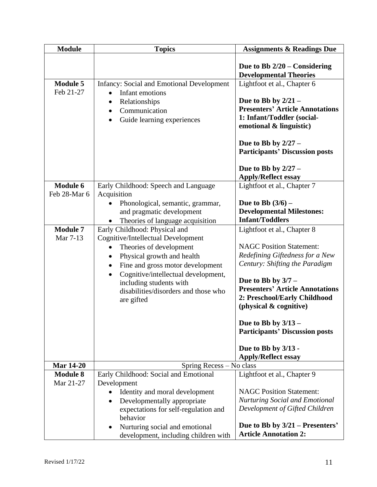| <b>Module</b>                | <b>Topics</b>                                                                                                                                                                                                                                                                     | <b>Assignments &amp; Readings Due</b>                                                                                                                                                                                                                                                                                                                   |
|------------------------------|-----------------------------------------------------------------------------------------------------------------------------------------------------------------------------------------------------------------------------------------------------------------------------------|---------------------------------------------------------------------------------------------------------------------------------------------------------------------------------------------------------------------------------------------------------------------------------------------------------------------------------------------------------|
|                              |                                                                                                                                                                                                                                                                                   | Due to Bb $2/20$ – Considering<br><b>Developmental Theories</b>                                                                                                                                                                                                                                                                                         |
| <b>Module 5</b><br>Feb 21-27 | <b>Infancy: Social and Emotional Development</b><br>Infant emotions<br>Relationships<br>$\bullet$<br>Communication<br>Guide learning experiences                                                                                                                                  | Lightfoot et al., Chapter 6<br>Due to Bb by $2/21 -$<br><b>Presenters' Article Annotations</b><br>1: Infant/Toddler (social-<br>emotional & linguistic)<br>Due to Bb by $2/27 -$<br><b>Participants' Discussion posts</b><br>Due to Bb by $2/27 -$<br><b>Apply/Reflect essay</b>                                                                        |
| Module 6                     | Early Childhood: Speech and Language                                                                                                                                                                                                                                              | Lightfoot et al., Chapter 7                                                                                                                                                                                                                                                                                                                             |
| Feb 28-Mar 6                 | Acquisition                                                                                                                                                                                                                                                                       |                                                                                                                                                                                                                                                                                                                                                         |
|                              | Phonological, semantic, grammar,<br>$\bullet$<br>and pragmatic development<br>Theories of language acquisition                                                                                                                                                                    | <b>Due to Bb</b> $(3/6)$ –<br><b>Developmental Milestones:</b><br><b>Infant/Toddlers</b>                                                                                                                                                                                                                                                                |
| <b>Module 7</b>              | Early Childhood: Physical and                                                                                                                                                                                                                                                     | Lightfoot et al., Chapter 8                                                                                                                                                                                                                                                                                                                             |
| Mar 7-13                     | Cognitive/Intellectual Development<br>Theories of development<br>$\bullet$<br>Physical growth and health<br>$\bullet$<br>Fine and gross motor development<br>Cognitive/intellectual development,<br>including students with<br>disabilities/disorders and those who<br>are gifted | <b>NAGC Position Statement:</b><br>Redefining Giftedness for a New<br>Century: Shifting the Paradigm<br>Due to Bb by $3/7$ –<br><b>Presenters' Article Annotations</b><br>2: Preschool/Early Childhood<br>(physical & cognitive)<br>Due to Bb by $3/13$ –<br><b>Participants' Discussion posts</b><br>Due to Bb by 3/13 -<br><b>Apply/Reflect essay</b> |
| <b>Mar 14-20</b>             | Spring Recess - No class                                                                                                                                                                                                                                                          |                                                                                                                                                                                                                                                                                                                                                         |
| <b>Module 8</b><br>Mar 21-27 | Early Childhood: Social and Emotional<br>Development<br>Identity and moral development<br>Developmentally appropriate<br>$\bullet$<br>expectations for self-regulation and<br>behavior<br>Nurturing social and emotional<br>$\bullet$<br>development, including children with     | Lightfoot et al., Chapter 9<br><b>NAGC Position Statement:</b><br><b>Nurturing Social and Emotional</b><br>Development of Gifted Children<br>Due to Bb by 3/21 – Presenters'<br><b>Article Annotation 2:</b>                                                                                                                                            |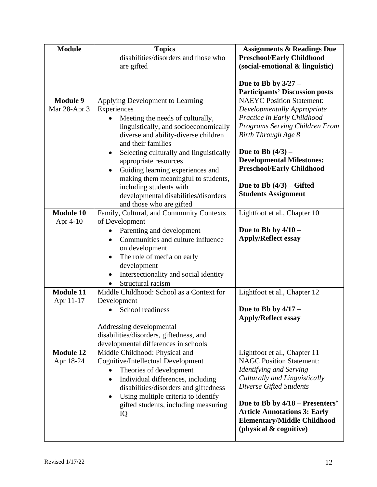| <b>Module</b>    | <b>Topics</b>                                                                   | <b>Assignments &amp; Readings Due</b> |
|------------------|---------------------------------------------------------------------------------|---------------------------------------|
|                  | disabilities/disorders and those who                                            | <b>Preschool/Early Childhood</b>      |
|                  | are gifted                                                                      | (social-emotional & linguistic)       |
|                  |                                                                                 |                                       |
|                  |                                                                                 | Due to Bb by $3/27 -$                 |
|                  |                                                                                 | <b>Participants' Discussion posts</b> |
| <b>Module 9</b>  | Applying Development to Learning                                                | <b>NAEYC Position Statement:</b>      |
| Mar 28-Apr 3     | Experiences                                                                     | Developmentally Appropriate           |
|                  | Meeting the needs of culturally,                                                | Practice in Early Childhood           |
|                  | linguistically, and socioeconomically                                           | Programs Serving Children From        |
|                  | diverse and ability-diverse children<br>and their families                      | Birth Through Age 8                   |
|                  | $\bullet$                                                                       | Due to Bb $(4/3)$ –                   |
|                  | Selecting culturally and linguistically<br>appropriate resources                | <b>Developmental Milestones:</b>      |
|                  | Guiding learning experiences and<br>$\bullet$                                   | <b>Preschool/Early Childhood</b>      |
|                  | making them meaningful to students,                                             |                                       |
|                  | including students with                                                         | Due to Bb $(4/3)$ – Gifted            |
|                  | developmental disabilities/disorders                                            | <b>Students Assignment</b>            |
|                  | and those who are gifted                                                        |                                       |
| <b>Module 10</b> | Family, Cultural, and Community Contexts                                        | Lightfoot et al., Chapter 10          |
| Apr 4-10         | of Development                                                                  |                                       |
|                  | Parenting and development                                                       | Due to Bb by $4/10 -$                 |
|                  | Communities and culture influence                                               | <b>Apply/Reflect essay</b>            |
|                  | on development                                                                  |                                       |
|                  | The role of media on early                                                      |                                       |
|                  | development                                                                     |                                       |
|                  | Intersectionality and social identity<br>$\bullet$                              |                                       |
|                  | Structural racism                                                               |                                       |
| <b>Module 11</b> | Middle Childhood: School as a Context for                                       | Lightfoot et al., Chapter 12          |
| Apr 11-17        | Development                                                                     |                                       |
|                  | School readiness                                                                | Due to Bb by $4/17 -$                 |
|                  |                                                                                 | <b>Apply/Reflect essay</b>            |
|                  | Addressing developmental                                                        |                                       |
|                  | disabilities/disorders, giftedness, and<br>developmental differences in schools |                                       |
| <b>Module 12</b> | Middle Childhood: Physical and                                                  | Lightfoot et al., Chapter 11          |
| Apr 18-24        | Cognitive/Intellectual Development                                              | <b>NAGC Position Statement:</b>       |
|                  | Theories of development                                                         | Identifying and Serving               |
|                  | Individual differences, including<br>$\bullet$                                  | Culturally and Linguistically         |
|                  | disabilities/disorders and giftedness                                           | Diverse Gifted Students               |
|                  | Using multiple criteria to identify                                             |                                       |
|                  | gifted students, including measuring                                            | Due to Bb by 4/18 – Presenters'       |
|                  | IQ                                                                              | <b>Article Annotations 3: Early</b>   |
|                  |                                                                                 | <b>Elementary/Middle Childhood</b>    |
|                  |                                                                                 | (physical & cognitive)                |
|                  |                                                                                 |                                       |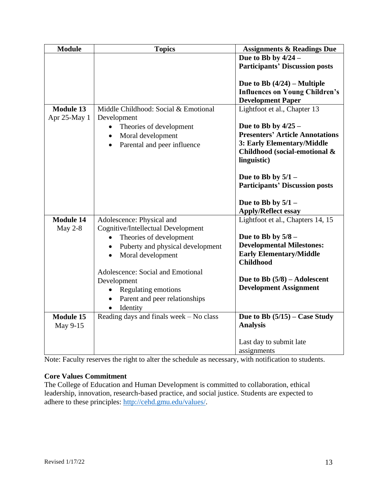| <b>Module</b>    | <b>Topics</b>                                             | <b>Assignments &amp; Readings Due</b>                                                              |
|------------------|-----------------------------------------------------------|----------------------------------------------------------------------------------------------------|
|                  |                                                           | Due to Bb by $4/24$ –                                                                              |
|                  |                                                           | <b>Participants' Discussion posts</b>                                                              |
|                  |                                                           | Due to Bb $(4/24)$ – Multiple<br><b>Influences on Young Children's</b><br><b>Development Paper</b> |
| <b>Module 13</b> | Middle Childhood: Social & Emotional                      | Lightfoot et al., Chapter 13                                                                       |
| Apr 25-May 1     | Development<br>$\bullet$                                  | Due to Bb by $4/25$ –                                                                              |
|                  | Theories of development<br>Moral development<br>$\bullet$ | <b>Presenters' Article Annotations</b>                                                             |
|                  | Parental and peer influence<br>$\bullet$                  | 3: Early Elementary/Middle                                                                         |
|                  |                                                           | Childhood (social-emotional &                                                                      |
|                  |                                                           | linguistic)                                                                                        |
|                  |                                                           | Due to Bb by $5/1$ –<br><b>Participants' Discussion posts</b>                                      |
|                  |                                                           | Due to Bb by $5/1$ –<br><b>Apply/Reflect essay</b>                                                 |
| <b>Module 14</b> | Adolescence: Physical and                                 | Lightfoot et al., Chapters 14, 15                                                                  |
| May $2-8$        | Cognitive/Intellectual Development                        |                                                                                                    |
|                  | Theories of development                                   | Due to Bb by $5/8$ -                                                                               |
|                  | Puberty and physical development<br>$\bullet$             | <b>Developmental Milestones:</b><br><b>Early Elementary/Middle</b>                                 |
|                  | Moral development                                         | <b>Childhood</b>                                                                                   |
|                  | Adolescence: Social and Emotional                         |                                                                                                    |
|                  | Development                                               | Due to Bb $(5/8)$ – Adolescent                                                                     |
|                  | Regulating emotions<br>$\bullet$                          | <b>Development Assignment</b>                                                                      |
|                  | Parent and peer relationships<br>$\bullet$                |                                                                                                    |
|                  | Identity<br>$\bullet$                                     |                                                                                                    |
| <b>Module 15</b> | Reading days and finals week - No class                   | Due to Bb $(5/15)$ – Case Study                                                                    |
| May 9-15         |                                                           | <b>Analysis</b>                                                                                    |
|                  |                                                           | Last day to submit late                                                                            |
|                  |                                                           | assignments                                                                                        |

Note: Faculty reserves the right to alter the schedule as necessary, with notification to students.

# **Core Values Commitment**

The College of Education and Human Development is committed to collaboration, ethical leadership, innovation, research-based practice, and social justice. Students are expected to adhere to these principles: [http://cehd.gmu.edu/values/.](http://cehd.gmu.edu/values/)